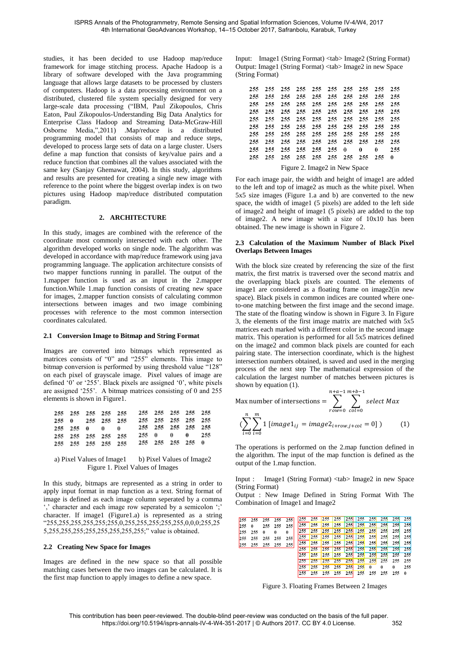studies, it has been decided to use Hadoop map/reduce framework for image stitching process. Apache Hadoop is a library of software developed with the Java programming language that allows large datasets to be processed by clusters of computers. Hadoop is a data processing environment on a distributed, clustered file system specially designed for very large-scale data processing ("IBM, Paul Zikopoulos, Chris Eaton, Paul Zikopoulos-Understanding Big Data Analytics for Enterprise Class Hadoop and Streaming Data-McGraw-Hill Osborne Media,",2011) .Map/reduce is a distributed programming model that consists of map and reduce steps, developed to process large sets of data on a large cluster. Users define a map function that consists of key/value pairs and a reduce function that combines all the values associated with the same key (Sanjay Ghemawat, 2004). In this study, algorithms and results are presented for creating a single new image with reference to the point where the biggest overlap index is on two pictures using Hadoop map/reduce distributed computation paradigm.

### **2. ARCHITECTURE**

In this study, images are combined with the reference of the coordinate most commonly intersected with each other. The algorithm developed works on single node. The algorithm was developed in accordance with map/reduce framework using java programming language. The application architecture consists of two mapper functions running in parallel. The output of the 1.mapper function is used as an input in the 2.mapper function.While 1.map function consists of creating new space for images, 2.mapper function consists of calculating common intersections between images and two image combining processes with reference to the most common intersection coordinates calculated.

# **2.1 Conversion Image to Bitmap and String Format**

Images are converted into bitmaps which represented as matrices consists of "0" and "255" elements. This image to bitmap conversion is performed by using threshold value "128" on each pixel of grayscale image. Pixel values of image are defined '0' or '255'. Black pixels are assigned '0', white pixels are assigned '255'. A bitmap matrices consisting of 0 and 255 elements is shown in Figure1.

| 255 255 255 255 255 |  |  | 255 255 255 255 255 |  |  |
|---------------------|--|--|---------------------|--|--|
| 255 0 255 255 255   |  |  | 255 255 255 255 255 |  |  |
| 255 255 0 0 0       |  |  | 255 255 255 255 255 |  |  |
| 255 255 255 255 255 |  |  | 2.55 0 0 0 2.55     |  |  |
| 255 255 255 255 255 |  |  | 255 255 255 255 0   |  |  |

#### a) Pixel Values of Image1 b) Pixel Values of Image2 Figure 1. Pixel Values of Images

In this study, bitmaps are represented as a string in order to apply input format in map function as a text. String format of image is defined as each image column seperated by a comma ',' character and each image row seperated by a semicolon ';' character. If image1 (Figure1.a) is represented as a string "255,255,255,255,255;255,0,255,255,255;255,255,0,0,0;255,25 5,255,255,255;255,255,255,255,255;" value is obtained.

# **2.2 Creating New Space for Images**

Images are defined in the new space so that all possible matching cases between the two images can be calculated. It is the first map function to apply images to define a new space.

Input: Image1 (String Format) <tab> Image2 (String Format) Output: Image1 (String Format) <tab> Image2 in new Space (String Format)

| 255 |  |  | 255 255 255 255 255 255 255 255 255 |  |            |
|-----|--|--|-------------------------------------|--|------------|
| 255 |  |  | 255 255 255 255 255 255 255 255 255 |  |            |
|     |  |  |                                     |  |            |
| 255 |  |  | 255 255 255 255 255 255 255 255 255 |  |            |
|     |  |  |                                     |  |            |
|     |  |  |                                     |  |            |
| 255 |  |  | 255 255 255 255 255 255 255 255 255 |  |            |
| 255 |  |  | 255 255 255 255 255 0 0             |  | $0 \t 255$ |
|     |  |  |                                     |  |            |
|     |  |  |                                     |  |            |

Figure 2. Image2 in New Space

For each image pair, the width and height of image1 are added to the left and top of image2 as much as the white pixel. When 5x5 size images (Figure 1.a and b) are converted to the new space, the width of image1 (5 pixels) are added to the left side of image2 and height of image1 (5 pixels) are added to the top of image2. A new image with a size of 10x10 has been obtained. The new image is shown in Figure 2.

### **2.3 Calculation of the Maximum Number of Black Pixel Overlaps Between Images**

With the block size created by referencing the size of the first matrix, the first matrix is traversed over the second matrix and the overlapping black pixels are counted. The elements of image1 are considered as a floating frame on image2(in new space). Black pixels in common indices are counted where oneto-one matching between the first image and the second image. The state of the floating window is shown in Figure 3. In Figure 3, the elements of the first image matrix are matched with 5x5 matrices each marked with a different color in the second image matrix. This operation is performed for all 5x5 matrices defined on the image2 and common black pixels are counted for each pairing state. The intersection coordinate, which is the highest intersection numbers obtained, is saved and used in the merging process of the next step The mathematical expression of the calculation the largest number of matches between pictures is shown by equation (1).

Max number of intersections = 
$$
\sum_{row=0}^{n+a-1} \sum_{col=0}^{m+b-1} select Max
$$

$$
(\sum_{i=0}^{n} \sum_{i=0}^{m} 1 [image1_{ij} = image2_{i+row,j+col} = 0])
$$
 (1)

The operations is performed on the 2.map function defined in the algorithm. The input of the map function is defined as the output of the 1.map function.

Input : Image1 (String Format) <tab> Image2 in new Space (String Format)

Output : New Image Defined in String Format With The Combination of Image1 and Image2

|      |                     |              | 255 255 255 255 255 |     |               |                         |         |                         |              |                             |       |
|------|---------------------|--------------|---------------------|-----|---------------|-------------------------|---------|-------------------------|--------------|-----------------------------|-------|
| 2550 |                     | 255 255 255  |                     |     | $255$ 255 255 |                         |         |                         |              | 255 255 255 255 255 255 255 |       |
|      | $255$ 255 0         | $\mathbf{0}$ | 0                   | 255 |               | 255 255                 |         | 255 255 255 255 255 255 |              |                             | - 255 |
|      | 255 255 255 255 255 |              |                     | 255 | 255 255       |                         |         | 255 255 255 255         |              | 255 255                     | -255  |
|      | 255 255 255 255 255 |              |                     | 255 |               | 255 255                 | 255 255 | $ 255 $ 255             |              | 255 255                     | 255   |
|      |                     |              |                     | 255 |               | 255 255                 |         |                         |              | 255 255 255 255 255 255 255 |       |
|      |                     |              |                     | 255 |               |                         |         |                         |              |                             |       |
|      |                     |              |                     |     |               |                         |         |                         |              |                             |       |
|      |                     |              |                     | 255 |               | $255$ 255 255 255 255 0 |         |                         | $\mathbf{0}$ | $\theta$                    | 255   |
|      |                     |              |                     |     |               |                         |         |                         |              |                             |       |

Figure 3. Floating Frames Between 2 Images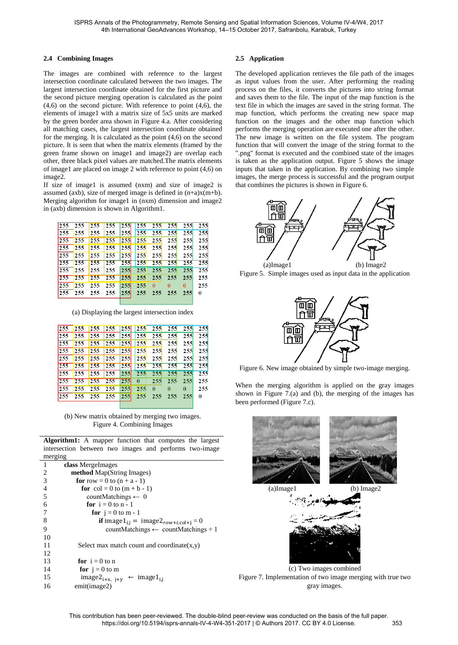# **2.4 Combining Images**

The images are combined with reference to the largest intersection coordinate calculated between the two images. The largest intersection coordinate obtained for the first picture and the second picture merging operation is calculated as the point  $(4,6)$  on the second picture. With reference to point  $(4,6)$ , the elements of image1 with a matrix size of 5x5 units are marked by the green border area shown in Figure 4.a. After considering all matching cases, the largest intersection coordinate obtained for the merging. It is calculated as the point (4,6) on the second picture. It is seen that when the matrix elements (framed by the green frame shown on image1 and image2) are overlap each other, three black pixel values are matched.The matrix elements of image1 are placed on image 2 with reference to point (4,6) on image2.

If size of image1 is assumed (nxm) and size of image2 is assumed (axb), size of merged image is defined in (n+a)x(m+b). Merging algorithm for image1 in (nxm) dimension and image2 in (axb) dimension is shown in Algorithm1.

| 255 | 255 | 255 | 255 | 255        | 255 | 255        | 255      | 255      | 255 |
|-----|-----|-----|-----|------------|-----|------------|----------|----------|-----|
| 255 | 255 | 255 | 255 | 255        | 255 | <b>255</b> | 255      | 255      | 255 |
| 255 | 255 | 255 | 255 | 255        | 255 | 255        | 255      | 255      | 255 |
| 255 | 255 | 255 | 255 | 255        | 255 | <b>255</b> | 255      | 255      | 255 |
| 255 | 255 | 255 | 255 | 255        | 255 | 255        | 255      | 255      | 255 |
| 255 | 255 | 255 | 255 | 255        | 255 | 255        | 255      | 255      | 255 |
| 255 | 255 | 255 | 255 | <b>255</b> | 255 | 255        | 255      | 255      | 255 |
| 255 | 255 | 255 | 255 | 255        | 255 | 255        | 255      | 255      | 255 |
| 255 | 255 | 255 | 255 | 255        | 255 | $\bf{0}$   | $\bf{0}$ | $\bf{0}$ | 255 |
| 255 | 255 | 255 | 255 | <b>255</b> | 255 | 255        | 255      | 255      | 0   |
|     |     |     |     |            |     |            |          |          |     |

(a) Displaying the largest intersection index

| 255 | 255         |       |                     |                                                                                | 255 255 255 255 255 255 255 |              |              | 255      |
|-----|-------------|-------|---------------------|--------------------------------------------------------------------------------|-----------------------------|--------------|--------------|----------|
| 255 | 255         |       | 255 255 255 255 255 |                                                                                |                             | 255          | 255          | 255      |
| 255 | 255         |       | 255 255 255 255 255 |                                                                                |                             | 255          | 255          | 255      |
| 255 | 1255        | $255$ | 255                 | $ 255 $ $ 255 $ $ 255 $                                                        |                             | 255          | 255          | 255      |
| 255 | 255         | 255   | 255                 | $ 255 $ $ 255 $ $ 255 $                                                        |                             | 255          | 255          | 255      |
| 255 | 255         | 255   |                     | 255 255 255 255                                                                |                             |              | 255 255      | 255      |
| 255 | 255         | 255   | 255                 |                                                                                |                             | 255          | 255          | 255      |
|     | $255$ $255$ |       | $255$ 255           | $\begin{array}{ c c c c c c c c c } \hline 255 & 0 & 255 \ \hline \end{array}$ |                             |              | 255 255      | 255      |
| 255 | 255         | 255   | 255                 | $\begin{array}{ c c c c c c } \hline 255 & 255 & 0 \\ \hline \end{array}$      |                             | $\mathbf{0}$ | $\mathbf{0}$ | 255      |
|     | $255$ 255   |       | 255 255             | $ 255 $ 255                                                                    |                             | 255 255 255  |              | $\bf{0}$ |
|     |             |       |                     |                                                                                |                             |              |              |          |

(b) New matrix obtained by merging two images. Figure 4. Combining Images

**Algorithm1:** A mapper function that computes the largest intersection between two images and performs two-image

| merging |                                                               |
|---------|---------------------------------------------------------------|
| 1       | class MergeImages                                             |
| 2       | <b>method</b> Map(String Images)                              |
| 3       | <b>for</b> row = 0 to $(n + a - 1)$                           |
| 4       | for $col = 0$ to $(m + b - 1)$                                |
| 5       | countMatchings $\leftarrow 0$                                 |
| 6       | for $i = 0$ to n - 1                                          |
| 7       | for $j = 0$ to m - 1                                          |
| 8       | <b>if</b> image1 <sub>i,j</sub> = image2 $_{row+i,col+i}$ = 0 |
| 9       | countMatchings $\leftarrow$ countMatchings + 1                |
| 10      |                                                               |
| 11      | Select max match count and coordinate $(x,y)$                 |
| 12      |                                                               |
| 13      | for $i = 0$ to n                                              |
| 14      | for $j = 0$ to m                                              |
| 15      | $image2_{i+x, i+y} \leftarrow image1_{i,i}$                   |
| 16      | emit(image2)                                                  |

# **2.5 Application**

The developed application retrieves the file path of the images as input values from the user. After performing the reading process on the files, it converts the pictures into string format and saves them to the file. The input of the map function is the text file in which the images are saved in the string format. The map function, which performs the creating new space map function on the images and the other map function which performs the merging operation are executed one after the other. The new image is written on the file system. The program function that will convert the image of the string format to the ".png" format is executed and the combined state of the images is taken as the application output. Figure 5 shows the image inputs that taken in the application. By combining two simple images, the merge process is successful and the program output that combines the pictures is shown in Figure 6.



Figure 5. Simple images used as input data in the application



Figure 6. New image obtained by simple two-image merging.

When the merging algorithm is applied on the gray images shown in Figure 7.(a) and (b), the merging of the images has been performed (Figure 7.c).

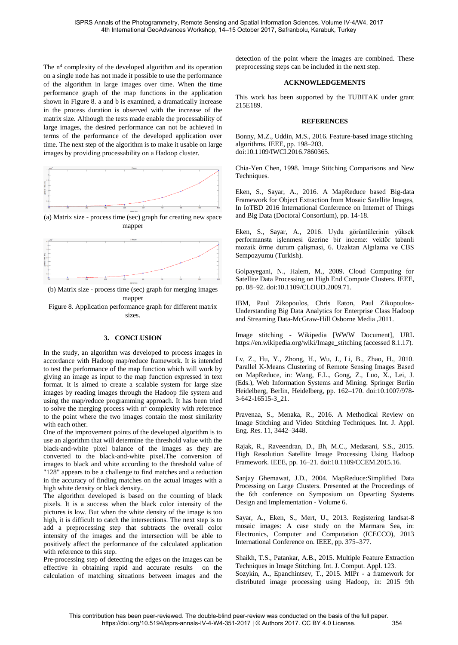The  $n<sup>4</sup>$  complexity of the developed algorithm and its operation on a single node has not made it possible to use the performance of the algorithm in large images over time. When the time performance graph of the map functions in the application shown in Figure 8. a and b is examined, a dramatically increase in the process duration is observed with the increase of the matrix size. Although the tests made enable the processability of large images, the desired performance can not be achieved in terms of the performance of the developed application over time. The next step of the algorithm is to make it usable on large images by providing processability on a Hadoop cluster.



(a) Matrix size - process time (sec) graph for creating new space mapper



(b) Matrix size - process time (sec) graph for merging images mapper

Figure 8. Application performance graph for different matrix sizes.

#### **3. CONCLUSION**

In the study, an algorithm was developed to process images in accordance with Hadoop map/reduce framework. It is intended to test the performance of the map function which will work by giving an image as input to the map function expressed in text format. It is aimed to create a scalable system for large size images by reading images through the Hadoop file system and using the map/reduce programming approach. It has been tried to solve the merging process with n 4 complexity with reference to the point where the two images contain the most similarity with each other.

One of the improvement points of the developed algorithm is to use an algorithm that will determine the threshold value with the black-and-white pixel balance of the images as they are converted to the black-and-white pixel.The conversion of images to black and white according to the threshold value of "128" appears to be a challenge to find matches and a reduction in the accuracy of finding matches on the actual images with a high white density or black density..

The algorithm developed is based on the counting of black pixels. It is a success when the black color intensity of the pictures is low. But when the white density of the image is too high, it is difficult to catch the intersections. The next step is to add a preprocessing step that subtracts the overall color intensity of the images and the intersection will be able to positively affect the performance of the calculated application with reference to this step.

Pre-processing step of detecting the edges on the images can be effective in obtaining rapid and accurate results on the calculation of matching situations between images and the

detection of the point where the images are combined. These preprocessing steps can be included in the next step.

### **ACKNOWLEDGEMENTS**

This work has been supported by the TUBITAK under grant 215E189.

# **REFERENCES**

Bonny, M.Z., Uddin, M.S., 2016. Feature-based image stitching algorithms. IEEE, pp. 198–203. doi:10.1109/IWCI.2016.7860365.

Chia-Yen Chen, 1998. Image Stitching Comparisons and New Techniques.

Eken, S., Sayar, A., 2016. A MapReduce based Big-data Framework for Object Extraction from Mosaic Satellite Images, In IoTBD 2016 International Conference on Internet of Things and Big Data (Doctoral Consortium), pp. 14-18.

Eken, S., Sayar, A., 2016. Uydu görüntülerinin yüksek performansta işlenmesi üzerine bir inceme: vektör tabanli mozaik örme durum çalişmasi, 6. Uzaktan Algılama ve CBS Sempozyumu (Turkish).

Golpayegani, N., Halem, M., 2009. Cloud Computing for Satellite Data Processing on High End Compute Clusters. IEEE, pp. 88–92. doi:10.1109/CLOUD.2009.71.

IBM, Paul Zikopoulos, Chris Eaton, Paul Zikopoulos-Understanding Big Data Analytics for Enterprise Class Hadoop and Streaming Data-McGraw-Hill Osborne Media ,2011.

Image stitching - Wikipedia [WWW Document], URL https://en.wikipedia.org/wiki/Image\_stitching (accessed 8.1.17).

Lv, Z., Hu, Y., Zhong, H., Wu, J., Li, B., Zhao, H., 2010. Parallel K-Means Clustering of Remote Sensing Images Based on MapReduce, in: Wang, F.L., Gong, Z., Luo, X., Lei, J. (Eds.), Web Information Systems and Mining. Springer Berlin Heidelberg, Berlin, Heidelberg, pp. 162–170. doi:10.1007/978- 3-642-16515-3\_21.

Pravenaa, S., Menaka, R., 2016. A Methodical Review on Image Stitching and Video Stitching Techniques. Int. J. Appl. Eng. Res. 11, 3442–3448.

Rajak, R., Raveendran, D., Bh, M.C., Medasani, S.S., 2015. High Resolution Satellite Image Processing Using Hadoop Framework. IEEE, pp. 16–21. doi:10.1109/CCEM.2015.16.

Sanjay Ghemawat, J.D., 2004. MapReduce:Simplified Data Processing on Large Clusters. Presented at the Proceedings of the 6th conference on Symposium on Opearting Systems Design and Implementation - Volume 6.

Sayar, A., Eken, S., Mert, U., 2013. Registering landsat-8 mosaic images: A case study on the Marmara Sea, in: Electronics, Computer and Computation (ICECCO), 2013 International Conference on. IEEE, pp. 375–377.

Shaikh, T.S., Patankar, A.B., 2015. Multiple Feature Extraction Techniques in Image Stitching. Int. J. Comput. Appl. 123. Sozykin, A., Epanchintsev, T., 2015. MIPr - a framework for distributed image processing using Hadoop, in: 2015 9th